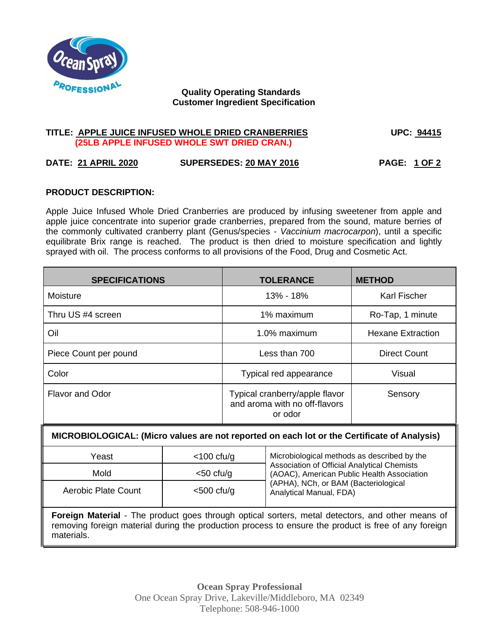

# **Quality Operating Standards Customer Ingredient Specification**

## **TITLE: APPLE JUICE INFUSED WHOLE DRIED CRANBERRIES UPC: 94415 (25LB APPLE INFUSED WHOLE SWT DRIED CRAN.)**

# **DATE: 21 APRIL 2020 SUPERSEDES: 20 MAY 2016 PAGE: 1 OF 2**

# **PRODUCT DESCRIPTION:**

Apple Juice Infused Whole Dried Cranberries are produced by infusing sweetener from apple and apple juice concentrate into superior grade cranberries, prepared from the sound, mature berries of the commonly cultivated cranberry plant (Genus/species - *Vaccinium macrocarpon*), until a specific equilibrate Brix range is reached. The product is then dried to moisture specification and lightly sprayed with oil. The process conforms to all provisions of the Food, Drug and Cosmetic Act.

| <b>SPECIFICATIONS</b>  | <b>TOLERANCE</b>                                                           | <b>METHOD</b>            |
|------------------------|----------------------------------------------------------------------------|--------------------------|
| Moisture               | 13% - 18%                                                                  | <b>Karl Fischer</b>      |
| Thru US #4 screen      | 1% maximum                                                                 | Ro-Tap, 1 minute         |
| Oil                    | 1.0% maximum                                                               | <b>Hexane Extraction</b> |
| Piece Count per pound  | Less than 700                                                              | <b>Direct Count</b>      |
| Color                  | Typical red appearance                                                     | Visual                   |
| <b>Flavor and Odor</b> | Typical cranberry/apple flavor<br>and aroma with no off-flavors<br>or odor | Sensory                  |

### **MICROBIOLOGICAL: (Micro values are not reported on each lot or the Certificate of Analysis)**

| Yeast               | $<$ 100 cfu/g | Microbiological methods as described by the<br>Association of Official Analytical Chemists<br>(AOAC), American Public Health Association |
|---------------------|---------------|------------------------------------------------------------------------------------------------------------------------------------------|
| Mold                | $<$ 50 cfu/g  |                                                                                                                                          |
| Aerobic Plate Count | $<$ 500 cfu/g | (APHA), NCh, or BAM (Bacteriological<br>Analytical Manual, FDA)                                                                          |

**Foreign Material** - The product goes through optical sorters, metal detectors, and other means of removing foreign material during the production process to ensure the product is free of any foreign materials.